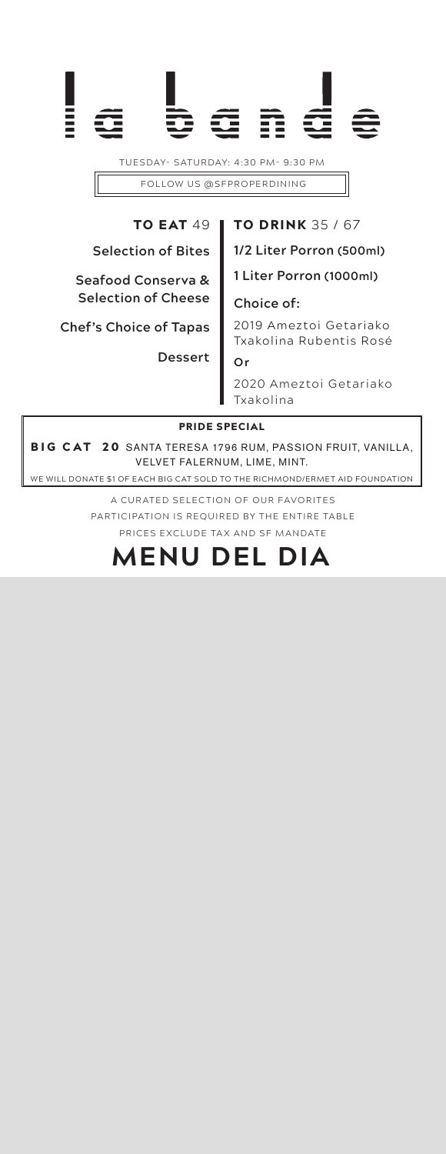TUESDAY- SATURDAY: 4:30 PM- 9:30 PM FOLLOW US @SFPROPERDINING

# TO EAT 49

## TO DRINK 35 / 67

**Selection of Bites**

#### **Seafood Conserva & Selection of Cheese**

**Chef's Choice of Tapas**

**Dessert**

**1/2 Liter Porron (500ml)**

**1 Liter Porron (1000ml)**

#### **Choice of:**

2019 Ameztoi Getariako Txakolina Rubentis Rosé **Or**

2020 Ameztoi Getariako Txakolina

#### PRIDE SPECIAL

BIG CAT 20 SANTA TERESA 1796 RUM, PASSION FRUIT, VANILLA, VELVET FALERNUM, LIME, MINT.

WE WILL DONATE \$1 OF EACH BIG CAT SOLD TO THE RICHMOND/ERMET AID FOUNDATION

A CURATED SELECTION OF OUR FAVORITES PARTICIPATION IS REQUIRED BY THE ENTIRE TABLE PRICES EXCLUDE TAX AND SF MANDATE

# **MENU DEL DIA**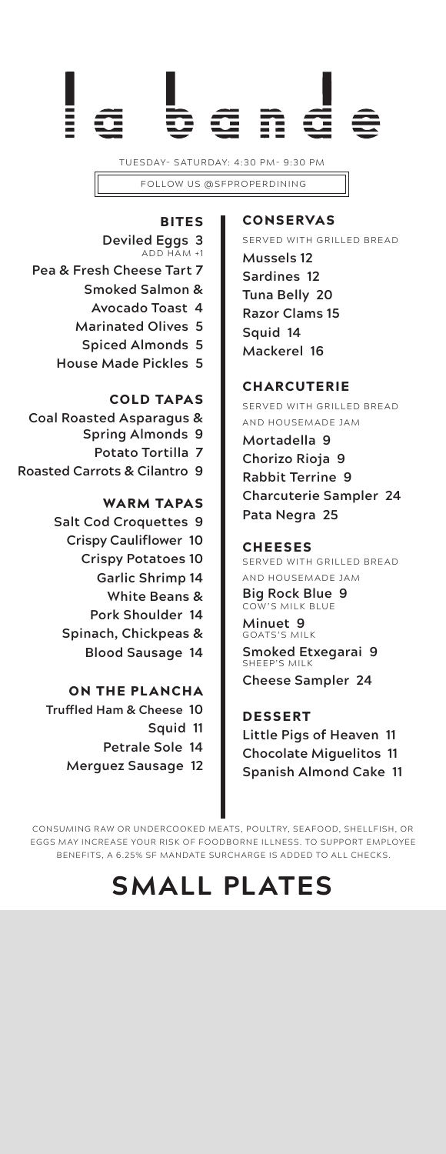

TUESDAY- SATURDAY: 4:30 PM- 9:30 PM FOLLOW US @SFPROPERDINING

BITES **Deviled Eggs 3** ADD HAM +1 **Pea & Fresh Cheese Tart 7 Smoked Salmon & Avocado Toast 4 Marinated Olives 5 Spiced Almonds 5 House Made Pickles 5**

COLD TAPAS **Coal Roasted Asparagus & Spring Almonds 9 Potato Tortilla 7 Roasted Carrots & Cilantro 9** 

> WARM TAPAS **Salt Cod Croquettes 9 Crispy Cauliflower 10 Crispy Potatoes 10 Garlic Shrimp 14 White Beans & Pork Shoulder 14 Spinach, Chickpeas & Blood Sausage 14**

ON THE PLANCHA **Truffled Ham & Cheese 10 Squid 11 Petrale Sole 14 Merguez Sausage 12**

#### **CONSERVAS**

SERVED WITH GRILLED BREAD

**Mussels 12 Sardines 12 Tuna Belly 20 Razor Clams 15 Squid 14 Mackerel 16**

#### **CHARCUTERIE**

SERVED WITH GRILLED BREAD AND HOUSEMADE JAM **Mortadella 9 Chorizo Rioja 9 Rabbit Terrine 9 Charcuterie Sampler 24 Pata Negra 25**

#### CHEESES

SERVED WITH GRILLED BREAD AND HOUSEMADE JAM

**Big Rock Blue 9** COW'S MILK BLUE

**Minuet 9** GOATS'S MILK **Smoked Etxegarai 9** SHEEP'S MILK **Cheese Sampler 24**

DESSERT **Little Pigs of Heaven 11 Chocolate Miguelitos 11 Spanish Almond Cake 11**

CONSUMING R AW OR UNDERCOOKED MEATS, POULTRY, SEAFOOD, SHELLFISH, OR EGGS MAY INCREASE YOUR RISK OF FOODBORNE ILLNESS. TO SUPPORT EMPLOYEE BENEFITS, A 6.25% SF MANDATE SURCHARGE IS ADDED TO ALL CHECKS.

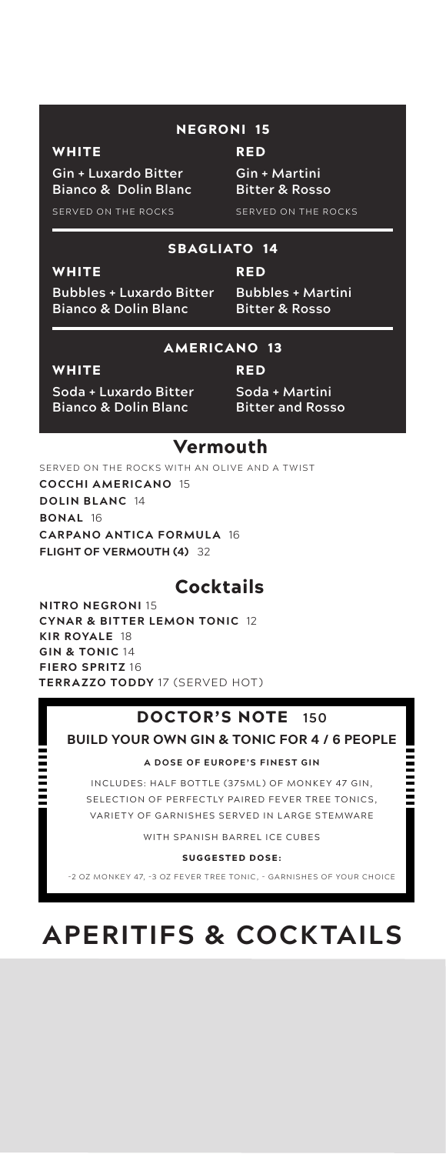### NEGRONI 15

RED

#### **WHITE**

**Gin + Luxardo Bitter Bianco & Dolin Blanc** **Gin + Martini Bitter & Rosso**

SERVED ON THE ROCKS

SERVED ON THE ROCKS

#### SBAGLIATO 14

**Bubbles + Luxardo Bitter**

**Bianco & Dolin Blanc**

RED **Bubbles + Martini Bitter & Rosso**

#### AMERICANO 13

#### **WHITE**

WHITE

**Soda + Luxardo Bitter Bianco & Dolin Blanc**

RED

**Soda + Martini Bitter and Rosso**

### Vermouth

SERVED ON THE ROCKS WITH AN OLIVE AND A TWIST **COCCHI AMERICANO** 15 **DOLIN BLANC** 14 **BONAL** 16 **CARPANO ANTICA FORMULA** 16 **FLIGHT OF VERMOUTH (4)** 32

## **Cocktails**

**NITRO NEGRONI** 15 **CYNAR & BITTER LEMON TONIC** 12 **KIR ROYALE** 18 **GIN & TONIC** 14 **FIERO SPRITZ** 16 **TERRAZZO TODDY** 17 (SERVED HOT)

### DOCTOR'S NOTE **150**

### **BUILD YOUR OWN GIN & TONIC FOR 4 / 6 PEOPLE**

**A DOSE OF EUROPE'S FINEST GIN**

INCLUDES: HALF BOTTLE (375ML) OF MONKEY 47 GIN, SELECTION OF PERFECTLY PAIRED FEVER TREE TONICS, VARIETY OF GARNISHES SERVED IN LARGE STEMWARE

WITH SPANISH BARREL ICE CUBES

SUGGESTED DOSE:

-2 OZ MONKEY 47, -3 OZ FEVER TREE TONIC, - GARNISHES OF YOUR CHOICE

# **APERITIFS & COCKTAILS**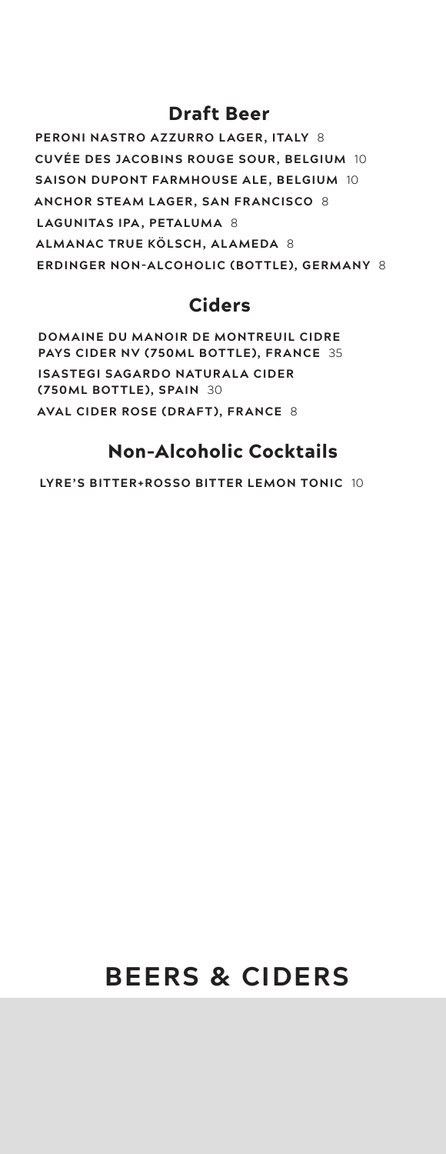# Draft Beer

**PERONI NASTRO A ZZURRO LAGER, ITALY** 8 **CUVÉE DES JACOBINS ROUGE SOUR, BELGIUM** 10 **SAISON DUPONT FARMHOUSE ALE, BELGIUM** 10 **ANCHOR STEAM LAGER, SAN FRANCISCO** 8 **LAGUNITAS IPA, PETALUMA** 8 **ALMANAC TRUE KÖLSCH, ALAMEDA** 8 **ERDINGER NON-ALCOHOLIC (BOTTLE), GERMANY** 8

# Ciders

**DOMAINE DU MANOIR DE MONTREUIL CIDRE PAYS CIDER NV (750ML BOTTLE), FRANCE** 35 **ISASTEGI SAGARDO NATURALA CIDER (750ML BOTTLE), SPAIN** 30 **AVAL CIDER ROSE (DRAFT), FRANCE** 8

# Non-Alcoholic Cocktails

**LYRE'S BIT TER+ROSSO BIT TER LEMON TONIC** 10

# **BEERS & CIDERS**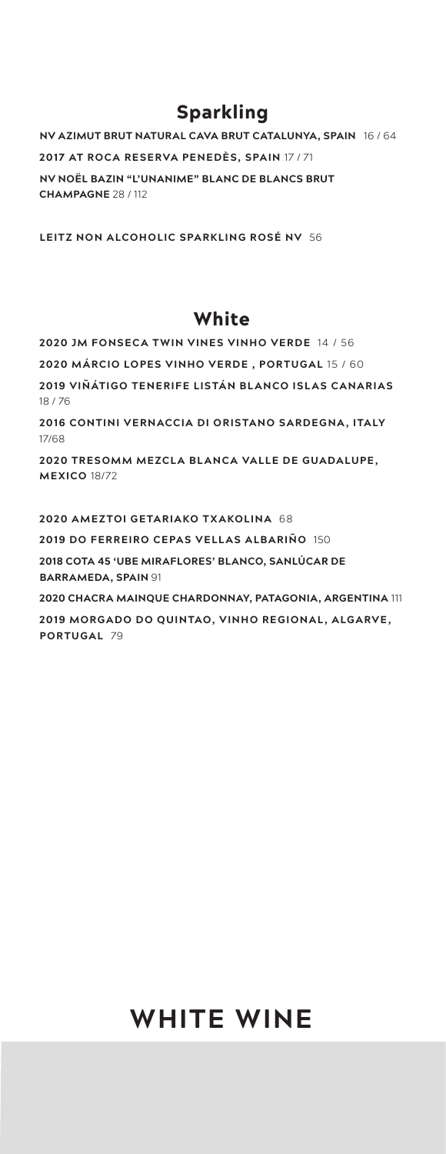# Sparkling

**NV AZIMUT BRUT NATURAL CAVA BRUT CATALUNYA, SPAIN** 16 / 64 **2017 AT ROCA RESERVA PENEDÈS, SPAIN** 17 / 71 **NV NOËL BAZIN "L'UNANIME" BLANC DE BLANCS BRUT CHAMPAGNE** 28 / 112

**LEITZ NON ALCOHOLIC SPARKLING ROSÉ NV** 56

# **White**

**2020 JM FONSECA TWIN VINES VINHO VERDE** 14 / 56 **2020 MÁRCIO LOPES VINHO VERDE , PORTUGAL** 15 / 60 **2019 VIÑÁTIGO TENERIFE LISTÁN BLANCO ISLAS CANARIAS**  18 / 76 **2016 CONTINI VERNACCIA DI ORISTANO SARDEGNA , ITALY**  17/68

**2020 TRESOMM MEZCLA BLANCA VALLE DE GUADALUPE, MEXICO** 18/72

**2020 AMEZTOI GETARIAKO TXAKOLINA** 68 **2019 DO FERREIRO CEPAS VELLAS ALBARIÑO** 150 **2018 COTA 45 'UBE MIRAFLORES' BLANCO, SANLÚCAR DE BARRAMEDA, SPAIN** 91 **2020 CHACRA MAINQUE CHARDONNAY, PATAGONIA, ARGENTINA** 111 **2019 MORGADO DO QUINTAO, VINHO REGIONAL , ALGARVE, PORTUGAL** 79

# **WHITE WINE**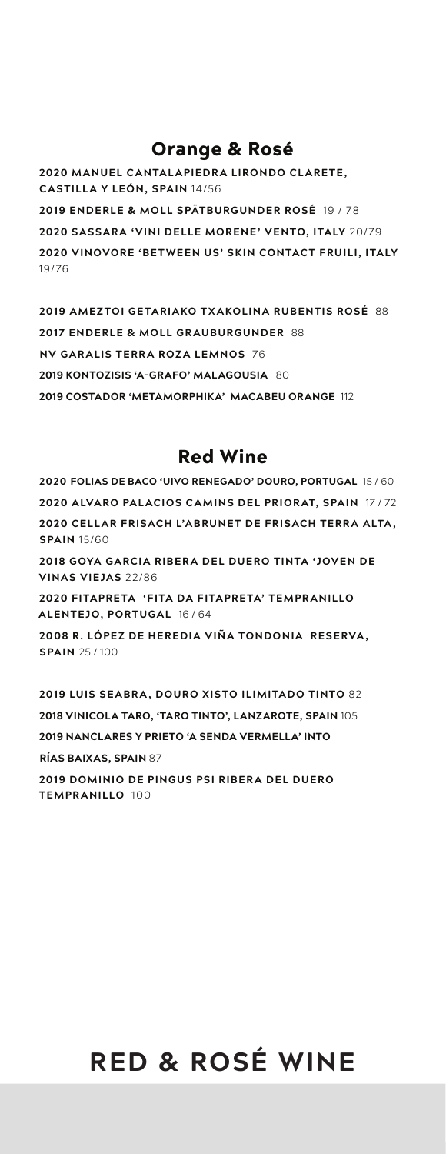# Orange & Rosé

**2020 MANUEL CANTALAPIEDRA LIRONDO CLARETE, CASTILLA Y LEÓN, SPAIN** 14/56 **2019 ENDERLE & MOLL SPÄTBURGUNDER ROSÉ** 19 / 78 **2020 SASSARA 'VINI DELLE MORENE' VENTO, ITALY** 20/79 **2020 VINOVORE 'BET WEEN US' SKIN CONTACT FRUILI, ITALY**  19/76

**2019 AMEZTOI GETARIAKO TXAKOLINA RUBENTIS ROSÉ** 88 **2017 ENDERLE & MOLL GRAUBURGUNDER** 88 **NV GARALIS TERRA ROZA LEMNOS** 76 **2019 KONTOZISIS 'A-GRAFO' MALAGOUSIA** 80 **2019 COSTADOR 'METAMORPHIKA' MACABEU ORANGE** 112

# Red Wine

**2020 FOLIAS DE BACO 'UIVO RENEGADO' DOURO, PORTUGAL** 15 / 60 **2020 ALVARO PALACIOS CAMINS DEL PRIORAT, SPAIN** 17 / 72 **2020 CELLAR FRISACH L'ABRUNET DE FRISACH TERR A ALTA , SPAIN** 15/60 **2018 GOYA GARCIA RIBERA DEL DUERO TINTA 'JOVEN DE VINAS VIEJAS** 22/86 **2020 FITAPRETA 'FITA DA FITAPRETA' TEMPR ANILLO ALENTEJO, PORTUGAL** 16 / 64 **2008 R. LÓPEZ DE HEREDIA VIÑA TONDONIA RESERVA , SPAIN** 25 / 100

**2019 LUIS SEABRA, DOURO XISTO ILIMITADO TINTO** 82 **2018 VINICOLA TARO, 'TARO TINTO', LANZAROTE, SPAIN** 105 **2019 NANCLARES Y PRIETO 'A SENDA VERMELLA' INTO RÍAS BAIXAS, SPAIN** 87

**2019 DOMINIO DE PINGUS PSI RIBER A DEL DUERO TEMPRANILLO** 100

# **RED & ROSÉ WINE**